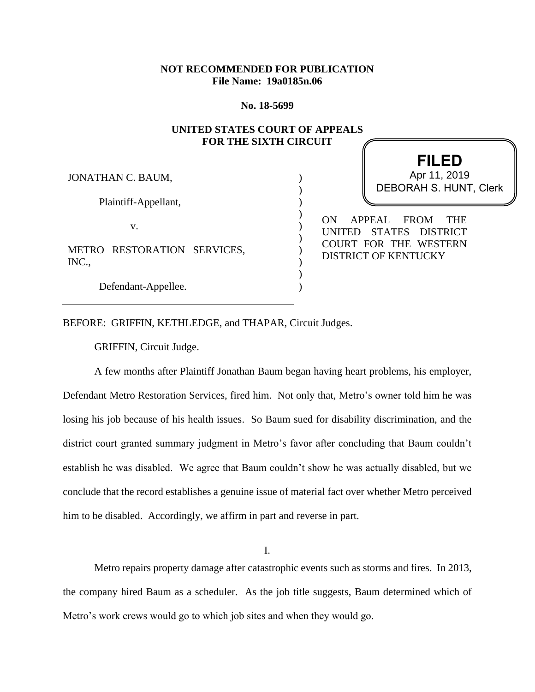# **NOT RECOMMENDED FOR PUBLICATION File Name: 19a0185n.06**

**No. 18-5699**

## **UNITED STATES COURT OF APPEALS FOR THE SIXTH CIRCUIT**

)  $\lambda$ ) ) ) ) ) ) ) )

JONATHAN C. BAUM,

Plaintiff-Appellant,

v.

METRO RESTORATION SERVICES, INC.,

Defendant-Appellee.

**FILED** DEBORAH S. HUNT, Clerk Apr 11, 2019

ON APPEAL FROM THE UNITED STATES DISTRICT COURT FOR THE WESTERN DISTRICT OF KENTUCKY

BEFORE: GRIFFIN, KETHLEDGE, and THAPAR, Circuit Judges.

GRIFFIN, Circuit Judge.

A few months after Plaintiff Jonathan Baum began having heart problems, his employer, Defendant Metro Restoration Services, fired him. Not only that, Metro's owner told him he was losing his job because of his health issues. So Baum sued for disability discrimination, and the district court granted summary judgment in Metro's favor after concluding that Baum couldn't establish he was disabled. We agree that Baum couldn't show he was actually disabled, but we conclude that the record establishes a genuine issue of material fact over whether Metro perceived him to be disabled. Accordingly, we affirm in part and reverse in part.

I.

Metro repairs property damage after catastrophic events such as storms and fires. In 2013, the company hired Baum as a scheduler. As the job title suggests, Baum determined which of Metro's work crews would go to which job sites and when they would go.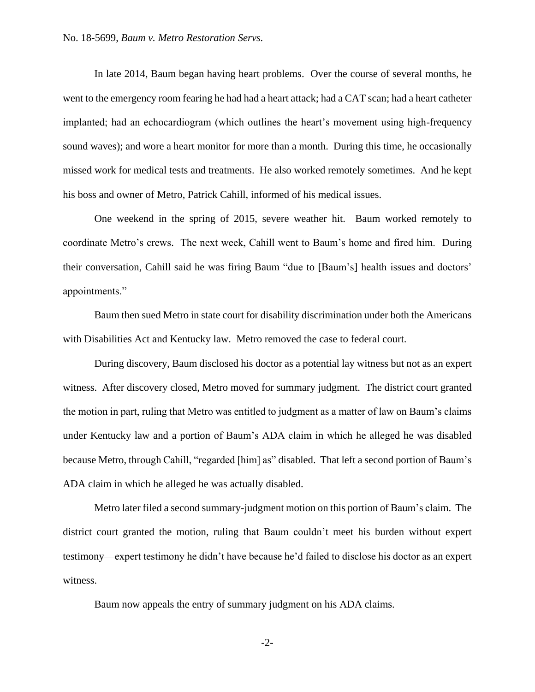In late 2014, Baum began having heart problems. Over the course of several months, he went to the emergency room fearing he had had a heart attack; had a CAT scan; had a heart catheter implanted; had an echocardiogram (which outlines the heart's movement using high-frequency sound waves); and wore a heart monitor for more than a month. During this time, he occasionally missed work for medical tests and treatments. He also worked remotely sometimes. And he kept his boss and owner of Metro, Patrick Cahill, informed of his medical issues.

One weekend in the spring of 2015, severe weather hit. Baum worked remotely to coordinate Metro's crews. The next week, Cahill went to Baum's home and fired him. During their conversation, Cahill said he was firing Baum "due to [Baum's] health issues and doctors' appointments."

Baum then sued Metro in state court for disability discrimination under both the Americans with Disabilities Act and Kentucky law. Metro removed the case to federal court.

During discovery, Baum disclosed his doctor as a potential lay witness but not as an expert witness. After discovery closed, Metro moved for summary judgment. The district court granted the motion in part, ruling that Metro was entitled to judgment as a matter of law on Baum's claims under Kentucky law and a portion of Baum's ADA claim in which he alleged he was disabled because Metro, through Cahill, "regarded [him] as" disabled. That left a second portion of Baum's ADA claim in which he alleged he was actually disabled.

Metro later filed a second summary-judgment motion on this portion of Baum's claim. The district court granted the motion, ruling that Baum couldn't meet his burden without expert testimony—expert testimony he didn't have because he'd failed to disclose his doctor as an expert witness.

Baum now appeals the entry of summary judgment on his ADA claims.

-2-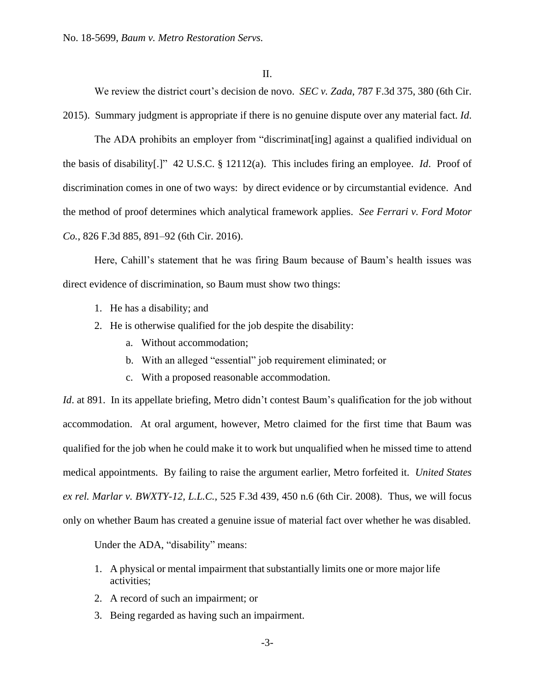We review the district court's decision de novo. *SEC v. Zada*, 787 F.3d 375, 380 (6th Cir. 2015). Summary judgment is appropriate if there is no genuine dispute over any material fact. *Id*.

The ADA prohibits an employer from "discriminat[ing] against a qualified individual on the basis of disability[.]" 42 U.S.C. § 12112(a). This includes firing an employee. *Id*. Proof of discrimination comes in one of two ways: by direct evidence or by circumstantial evidence. And the method of proof determines which analytical framework applies. *See Ferrari v. Ford Motor Co.*, 826 F.3d 885, 891–92 (6th Cir. 2016).

Here, Cahill's statement that he was firing Baum because of Baum's health issues was direct evidence of discrimination, so Baum must show two things:

- 1. He has a disability; and
- 2. He is otherwise qualified for the job despite the disability:
	- a. Without accommodation;
	- b. With an alleged "essential" job requirement eliminated; or
	- c. With a proposed reasonable accommodation.

*Id.* at 891. In its appellate briefing, Metro didn't contest Baum's qualification for the job without accommodation. At oral argument, however, Metro claimed for the first time that Baum was qualified for the job when he could make it to work but unqualified when he missed time to attend medical appointments. By failing to raise the argument earlier, Metro forfeited it. *United States ex rel. Marlar v. BWXTY-12, L.L.C.*, 525 F.3d 439, 450 n.6 (6th Cir. 2008). Thus, we will focus only on whether Baum has created a genuine issue of material fact over whether he was disabled.

Under the ADA, "disability" means:

- 1. A physical or mental impairment that substantially limits one or more major life activities;
- 2. A record of such an impairment; or
- 3. Being regarded as having such an impairment.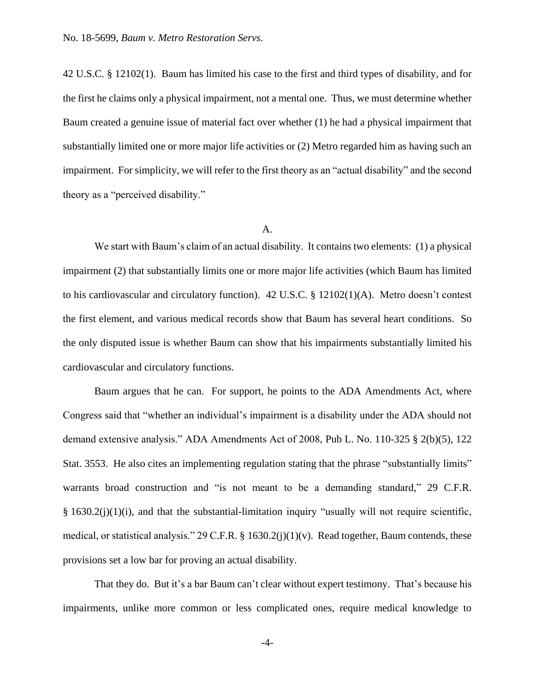42 U.S.C. § 12102(1). Baum has limited his case to the first and third types of disability, and for the first he claims only a physical impairment, not a mental one. Thus, we must determine whether Baum created a genuine issue of material fact over whether (1) he had a physical impairment that substantially limited one or more major life activities or (2) Metro regarded him as having such an impairment. For simplicity, we will refer to the first theory as an "actual disability" and the second theory as a "perceived disability."

#### A.

We start with Baum's claim of an actual disability. It contains two elements: (1) a physical impairment (2) that substantially limits one or more major life activities (which Baum has limited to his cardiovascular and circulatory function). 42 U.S.C. § 12102(1)(A). Metro doesn't contest the first element, and various medical records show that Baum has several heart conditions. So the only disputed issue is whether Baum can show that his impairments substantially limited his cardiovascular and circulatory functions.

Baum argues that he can. For support, he points to the ADA Amendments Act, where Congress said that "whether an individual's impairment is a disability under the ADA should not demand extensive analysis." ADA Amendments Act of 2008, Pub L. No. 110-325 § 2(b)(5), 122 Stat. 3553. He also cites an implementing regulation stating that the phrase "substantially limits" warrants broad construction and "is not meant to be a demanding standard," 29 C.F.R. § 1630.2(j)(1)(i), and that the substantial-limitation inquiry "usually will not require scientific, medical, or statistical analysis." 29 C.F.R. § 1630.2(j)(1)(v). Read together, Baum contends, these provisions set a low bar for proving an actual disability.

That they do. But it's a bar Baum can't clear without expert testimony. That's because his impairments, unlike more common or less complicated ones, require medical knowledge to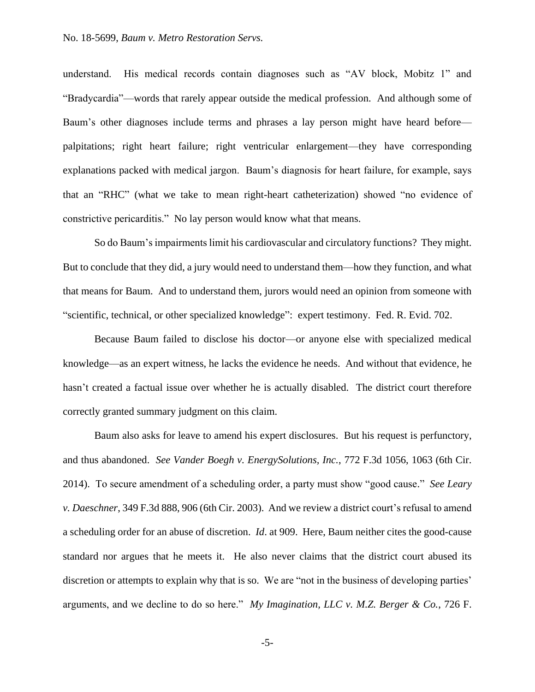understand. His medical records contain diagnoses such as "AV block, Mobitz 1" and "Bradycardia"—words that rarely appear outside the medical profession. And although some of Baum's other diagnoses include terms and phrases a lay person might have heard before palpitations; right heart failure; right ventricular enlargement—they have corresponding explanations packed with medical jargon. Baum's diagnosis for heart failure, for example, says that an "RHC" (what we take to mean right-heart catheterization) showed "no evidence of constrictive pericarditis." No lay person would know what that means.

So do Baum's impairments limit his cardiovascular and circulatory functions? They might. But to conclude that they did, a jury would need to understand them—how they function, and what that means for Baum. And to understand them, jurors would need an opinion from someone with "scientific, technical, or other specialized knowledge": expert testimony. Fed. R. Evid. 702.

Because Baum failed to disclose his doctor—or anyone else with specialized medical knowledge—as an expert witness, he lacks the evidence he needs. And without that evidence, he hasn't created a factual issue over whether he is actually disabled. The district court therefore correctly granted summary judgment on this claim.

Baum also asks for leave to amend his expert disclosures. But his request is perfunctory, and thus abandoned. *See Vander Boegh v. EnergySolutions, Inc.*, 772 F.3d 1056, 1063 (6th Cir. 2014). To secure amendment of a scheduling order, a party must show "good cause." *See Leary v. Daeschner*, 349 F.3d 888, 906 (6th Cir. 2003). And we review a district court's refusal to amend a scheduling order for an abuse of discretion. *Id*. at 909. Here, Baum neither cites the good-cause standard nor argues that he meets it. He also never claims that the district court abused its discretion or attempts to explain why that is so. We are "not in the business of developing parties' arguments, and we decline to do so here." *My Imagination, LLC v. M.Z. Berger & Co.*, 726 F.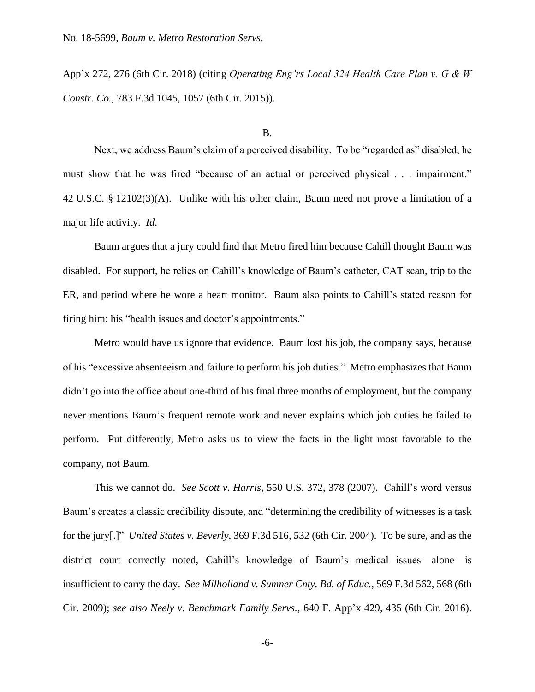App'x 272, 276 (6th Cir. 2018) (citing *Operating Eng'rs Local 324 Health Care Plan v. G & W Constr. Co.*, 783 F.3d 1045, 1057 (6th Cir. 2015)).

#### B.

Next, we address Baum's claim of a perceived disability. To be "regarded as" disabled, he must show that he was fired "because of an actual or perceived physical . . . impairment." 42 U.S.C. § 12102(3)(A). Unlike with his other claim, Baum need not prove a limitation of a major life activity. *Id*.

Baum argues that a jury could find that Metro fired him because Cahill thought Baum was disabled. For support, he relies on Cahill's knowledge of Baum's catheter, CAT scan, trip to the ER, and period where he wore a heart monitor. Baum also points to Cahill's stated reason for firing him: his "health issues and doctor's appointments."

Metro would have us ignore that evidence. Baum lost his job, the company says, because of his "excessive absenteeism and failure to perform his job duties." Metro emphasizes that Baum didn't go into the office about one-third of his final three months of employment, but the company never mentions Baum's frequent remote work and never explains which job duties he failed to perform. Put differently, Metro asks us to view the facts in the light most favorable to the company, not Baum.

This we cannot do. *See Scott v. Harris*, 550 U.S. 372, 378 (2007). Cahill's word versus Baum's creates a classic credibility dispute, and "determining the credibility of witnesses is a task for the jury[.]" *United States v. Beverly*, 369 F.3d 516, 532 (6th Cir. 2004). To be sure, and as the district court correctly noted, Cahill's knowledge of Baum's medical issues—alone—is insufficient to carry the day. *See Milholland v. Sumner Cnty. Bd. of Educ.*, 569 F.3d 562, 568 (6th Cir. 2009); *see also Neely v. Benchmark Family Servs.*, 640 F. App'x 429, 435 (6th Cir. 2016).